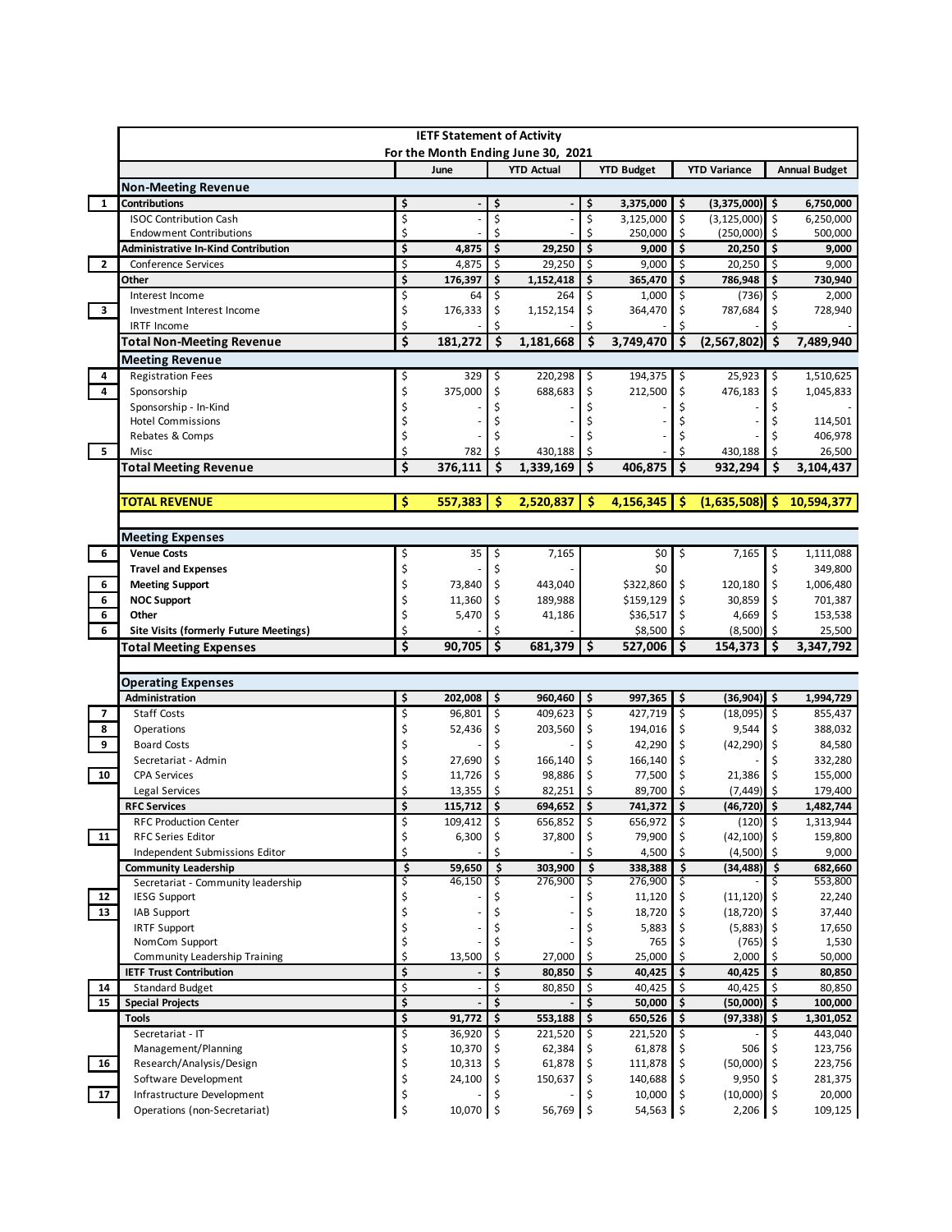|              | <b>IETF Statement of Activity</b><br>For the Month Ending June 30, 2021 |                               |                   |          |                    |                           |                    |                                |                                |            |                      |
|--------------|-------------------------------------------------------------------------|-------------------------------|-------------------|----------|--------------------|---------------------------|--------------------|--------------------------------|--------------------------------|------------|----------------------|
|              |                                                                         |                               | June              |          | <b>YTD Actual</b>  |                           | <b>YTD Budget</b>  |                                | <b>YTD Variance</b>            |            | <b>Annual Budget</b> |
|              | <b>Non-Meeting Revenue</b>                                              |                               |                   |          |                    |                           |                    |                                |                                |            |                      |
| $\mathbf{1}$ | <b>Contributions</b>                                                    | \$                            |                   | \$       |                    | \$                        | 3,375,000          | -\$                            | $(3,375,000)$ \$               |            | 6,750,000            |
|              | <b>ISOC Contribution Cash</b>                                           | \$                            |                   | \$       |                    | \$                        | 3,125,000          | \$                             | $(3, 125, 000)$ \$             |            | 6,250,000            |
|              | <b>Endowment Contributions</b>                                          | Ś                             |                   | \$       |                    | Ś                         | 250,000            | \$                             | (250,000)                      | Ś.         | 500,000              |
| $\mathbf{2}$ | <b>Administrative In-Kind Contribution</b><br>Conference Services       | \$<br>\$                      | 4,875<br>4,875    | \$<br>\$ | 29,250<br>29,250   | \$<br>$\ddot{\mathsf{S}}$ | 9,000<br>9,000     | $\ddot{\mathsf{s}}$<br>$\zeta$ | 20,250<br>20,250               | -\$<br>\$  | 9,000<br>9,000       |
|              | Other                                                                   | \$                            | 176,397           | \$       | 1,152,418          | \$                        | 365,470            | \$                             | 786,948                        | \$         | 730,940              |
|              | Interest Income                                                         | \$                            | 64                | \$       | 264                | \$                        | 1,000              | \$                             | $(736)$ \$                     |            | 2,000                |
| 3            | Investment Interest Income                                              | \$                            | 176,333           | \$       | 1,152,154          | \$                        | 364,470            | \$                             | 787,684                        | \$         | 728,940              |
|              | <b>IRTF Income</b>                                                      | \$                            |                   | \$       |                    |                           |                    |                                |                                |            |                      |
|              | <b>Total Non-Meeting Revenue</b>                                        | \$                            | 181,272           | \$       | 1,181,668          | \$                        | 3,749,470          | \$                             | (2, 567, 802)                  | -\$        | 7,489,940            |
|              | <b>Meeting Revenue</b>                                                  |                               |                   |          |                    |                           |                    |                                |                                |            |                      |
| 4            | <b>Registration Fees</b>                                                |                               | 329               | \$       | 220,298            | \$                        | 194,375            | \$                             | 25,923                         | \$         | 1,510,625            |
| 4            | Sponsorship                                                             | \$                            | 375,000           | \$       | 688,683            | \$                        | 212,500            | \$                             | 476,183                        | \$         | 1,045,833            |
|              | Sponsorship - In-Kind                                                   | \$                            |                   |          |                    |                           |                    | Ś                              |                                | \$         |                      |
|              | <b>Hotel Commissions</b>                                                | Ś                             |                   |          |                    |                           |                    |                                |                                | Ś          | 114,501              |
| 5            | Rebates & Comps<br>Misc                                                 | Ś<br>\$                       | 782               | \$       | 430.188            | \$                        |                    |                                | 430,188                        | Ś.         | 406,978<br>26,500    |
|              | <b>Total Meeting Revenue</b>                                            | \$                            | 376,111           | Ś        | 1,339,169          | \$                        | 406,875            | \$                             | 932,294                        | Ś          | 3,104,437            |
|              |                                                                         |                               |                   |          |                    |                           |                    |                                |                                |            |                      |
|              | <b>TOTAL REVENUE</b>                                                    | Ś                             | 557,383           | Ŝ        | 2,520,837          | Ŝ                         | 4,156,345          | S                              | (1,635,508)                    | S          | 10,594,377           |
|              |                                                                         |                               |                   |          |                    |                           |                    |                                |                                |            |                      |
|              | <b>Meeting Expenses</b>                                                 |                               |                   |          |                    |                           |                    |                                |                                |            |                      |
| 6            | <b>Venue Costs</b>                                                      | \$                            | 35                | \$       | 7,165              |                           | \$0                | \$                             | 7,165                          | \$         | 1,111,088            |
|              | <b>Travel and Expenses</b>                                              | \$                            |                   | \$       |                    |                           | \$0                |                                |                                | \$         | 349,800              |
| 6            | <b>Meeting Support</b>                                                  | \$                            | 73,840            | \$       | 443,040            |                           | \$322,860          | \$                             | 120,180                        | S.         | 1,006,480            |
| 6            | <b>NOC Support</b>                                                      | \$                            | 11,360            | \$       | 189,988            |                           | \$159,129          | \$                             | 30,859                         | \$         | 701,387              |
|              |                                                                         |                               |                   |          |                    |                           |                    |                                |                                |            |                      |
| 6            | Other                                                                   | \$                            | 5,470             | \$       | 41,186             |                           | \$36,517           | \$                             | 4,669                          |            | 153,538              |
| 6            | <b>Site Visits (formerly Future Meetings)</b>                           | \$                            |                   | \$       |                    |                           | \$8,500            | \$                             | (8,500)                        | \$         | 25,500               |
|              | <b>Total Meeting Expenses</b>                                           | \$                            | 90,705            | \$       | $681,379$ \$       |                           | 527,006            | \$                             | 154,373                        | Ŝ.         | 3,347,792            |
|              |                                                                         |                               |                   |          |                    |                           |                    |                                |                                |            |                      |
|              | <b>Operating Expenses</b>                                               |                               |                   |          |                    |                           |                    |                                |                                |            |                      |
| 7            | Administration<br><b>Staff Costs</b>                                    | \$                            | 202,008<br>96,801 | \$<br>\$ | 960,460<br>409,623 | \$<br>\$                  | 997,365<br>427,719 | \$<br>$\zeta$                  | $(36,904)$ \$<br>$(18,095)$ \$ |            | 1,994,729<br>855,437 |
| 8            | Operations                                                              | \$<br>\$                      | 52,436            | \$       | 203,560            | \$                        | 194,016            | \$                             | 9,544                          | \$         | 388,032              |
| 9            | <b>Board Costs</b>                                                      | \$                            |                   | \$       |                    |                           | 42,290             | \$                             | $(42, 290)$ \$                 |            | 84,580               |
|              | Secretariat - Admin                                                     | \$                            | 27,690            | \$       | 166,140            | \$                        | 166,140            | \$                             |                                |            | 332,280              |
| 10           | <b>CPA Services</b>                                                     | \$                            | 11,726            | \$       | 98,886             | \$                        | 77,500             | \$                             | 21,386                         | \$         | 155,000              |
|              | Legal Services                                                          | Ś                             | 13,355            | \$       | 82,251             |                           | 89,700             | Ś                              | (7, 449)                       | \$         | 179,400              |
|              | <b>RFC Services</b>                                                     | \$                            | 115,712           | \$       | 694,652            | \$                        | 741,372            | \$                             | (46, 720)                      | \$         | 1,482,744            |
|              | <b>RFC Production Center</b>                                            | Ş                             | 109,412           | Ş        | 656,852            | Ş                         | $656,972$ \$       |                                | $(120)$ \$                     |            | 1,313,944            |
| 11           | <b>RFC Series Editor</b>                                                | \$                            | 6,300             | \$       | 37,800             | \$                        | 79,900             | \$                             | $(42, 100)$ \$                 |            | 159,800              |
|              | Independent Submissions Editor                                          | \$                            |                   |          |                    | \$                        | 4,500              | \$<br>Ś                        | (4,500)                        |            | 9,000                |
|              | <b>Community Leadership</b><br>Secretariat - Community leadership       | $\overline{\mathsf{s}}$<br>\$ | 59,650<br>46,150  | \$<br>Ś  | 303,900<br>276,900 | \$<br>\$                  | 338,388<br>276,900 | \$                             | (34, 488)                      | - \$<br>\$ | 682,660<br>553,800   |
| 12           | <b>IESG Support</b>                                                     | \$                            |                   |          |                    |                           | 11,120             | S                              | $(11, 120)$ \$                 |            | 22,240               |
| 13           | IAB Support                                                             | \$                            |                   | \$       |                    |                           | 18,720             |                                | $(18, 720)$ \$                 |            | 37,440               |
|              | <b>IRTF Support</b>                                                     | \$                            |                   | \$       |                    |                           | 5,883              | \$                             | $(5,883)$ \$                   |            | 17,650               |
|              | NomCom Support                                                          | \$                            |                   | \$       |                    |                           | 765                |                                | (765)                          |            | 1,530                |
|              | Community Leadership Training                                           | \$                            | 13,500            | \$       | 27,000             | Ś.                        | 25,000             |                                | 2,000                          | Ŝ.         | 50,000               |
|              | <b>IETF Trust Contribution</b>                                          | \$                            |                   | \$       | 80,850             | \$                        | 40,425             | \$                             | 40,425                         | \$ ا       | 80,850               |
| 14<br>15     | <b>Standard Budget</b><br><b>Special Projects</b>                       | \$<br>\$                      |                   | \$<br>\$ | 80,850             | \$<br>\$                  | 40,425<br>50,000   | \$<br>\$                       | 40,425<br>(50,000)             | S.<br>۱\$  | 80,850<br>100,000    |
|              | <b>Tools</b>                                                            | \$                            | 91,772            | \$       | 553,188            | \$                        | 650,526            | \$                             | (97, 338)                      | \$         | 1,301,052            |
|              | Secretariat - IT                                                        | \$                            | 36,920            | \$       | 221,520            | \$                        | 221,520            | \$                             |                                | Ś.         | 443,040              |
|              | Management/Planning                                                     | \$                            | 10,370            |          | 62,384             |                           | 61,878             |                                | 506                            |            | 123,756              |
| 16           | Research/Analysis/Design                                                | \$                            | 10,313            | \$       | 61,878             | \$                        | 111,878            |                                | $(50,000)$ \$                  |            | 223,756              |
| 17           | Software Development<br>Infrastructure Development                      | \$<br>\$                      | 24,100            | \$       | 150,637            | \$                        | 140,688<br>10,000  | \$                             | 9,950<br>$(10,000)$ \$         | Ś.         | 281,375<br>20,000    |